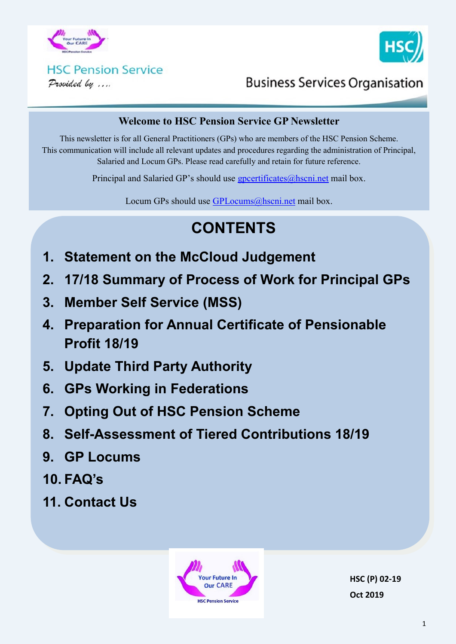



# **HSC Pension Service**

Provided by ....

## **Business Services Organisation**

#### **Welcome to HSC Pension Service GP Newsletter**

This newsletter is for all General Practitioners (GPs) who are members of the HSC Pension Scheme. This communication will include all relevant updates and procedures regarding the administration of Principal, Salaried and Locum GPs. Please read carefully and retain for future reference.

Principal and Salaried GP's should use  $g$  poertificates $@$  hscning mail box.

Locum GPs should use [GPLocums@hscni.net](mailto:GPLocums@hscni.net) mail box.

# **CONTENTS**

- **1. Statement on the McCloud Judgement**
- **2. 17/18 Summary of Process of Work for Principal GPs**
- **3. Member Self Service (MSS)**
- **4. Preparation for Annual Certificate of Pensionable Profit 18/19**
- **5. Update Third Party Authority**
- **6. GPs Working in Federations**
- **7. Opting Out of HSC Pension Scheme**
- **8. Self-Assessment of Tiered Contributions 18/19**
- **9. GP Locums**
- **10. FAQ's**
- **11. Contact Us**



**HSC (P) 02-19 Oct 2019**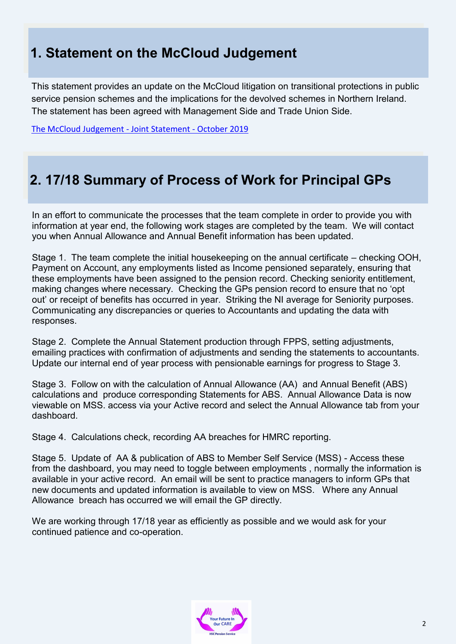### **1. Statement on the McCloud Judgement**

This statement provides an update on the McCloud litigation on transitional protections in public service pension schemes and the implications for the devolved schemes in Northern Ireland. The statement has been agreed with Management Side and Trade Union Side.

[The McCloud Judgement](http://www.hscpensions.hscni.net/download/pension_board/The-McCloud-Judgement-Joint-Statement-October-2019.pdf) - Joint Statement - October 2019

### **2. 17/18 Summary of Process of Work for Principal GPs**

In an effort to communicate the processes that the team complete in order to provide you with information at year end, the following work stages are completed by the team. We will contact you when Annual Allowance and Annual Benefit information has been updated.

Stage 1. The team complete the initial housekeeping on the annual certificate – checking OOH, Payment on Account, any employments listed as Income pensioned separately, ensuring that these employments have been assigned to the pension record. Checking seniority entitlement, making changes where necessary. Checking the GPs pension record to ensure that no 'opt out' or receipt of benefits has occurred in year. Striking the NI average for Seniority purposes. Communicating any discrepancies or queries to Accountants and updating the data with responses.

Stage 2. Complete the Annual Statement production through FPPS, setting adjustments, emailing practices with confirmation of adjustments and sending the statements to accountants. Update our internal end of year process with pensionable earnings for progress to Stage 3.

Stage 3. Follow on with the calculation of Annual Allowance (AA) and Annual Benefit (ABS) calculations and produce corresponding Statements for ABS. Annual Allowance Data is now viewable on MSS. access via your Active record and select the Annual Allowance tab from your dashboard.

Stage 4. Calculations check, recording AA breaches for HMRC reporting.

Stage 5. Update of AA & publication of ABS to Member Self Service (MSS) - Access these from the dashboard, you may need to toggle between employments , normally the information is available in your active record. An email will be sent to practice managers to inform GPs that new documents and updated information is available to view on MSS. Where any Annual Allowance breach has occurred we will email the GP directly.

We are working through 17/18 year as efficiently as possible and we would ask for your continued patience and co-operation.

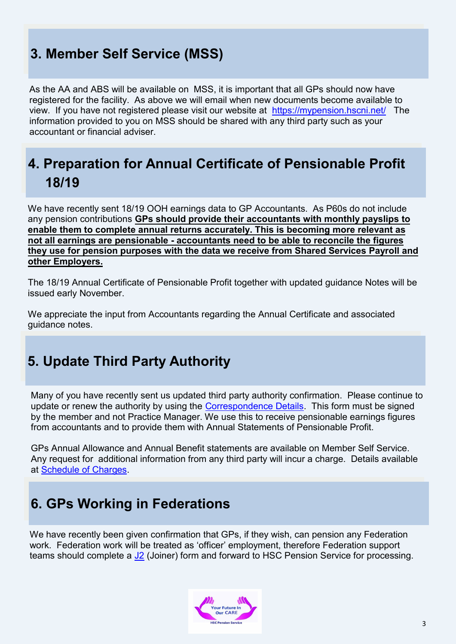## **3. Member Self Service (MSS)**

As the AA and ABS will be available on MSS, it is important that all GPs should now have registered for the facility. As above we will email when new documents become available to view. If you have not registered please visit our website at <https://mypension.hscni.net/>The information provided to you on MSS should be shared with any third party such as your accountant or financial adviser.

### **4. Preparation for Annual Certificate of Pensionable Profit 18/19**

We have recently sent 18/19 OOH earnings data to GP Accountants. As P60s do not include any pension contributions **GPs should provide their accountants with monthly payslips to enable them to complete annual returns accurately. This is becoming more relevant as not all earnings are pensionable - accountants need to be able to reconcile the figures they use for pension purposes with the data we receive from Shared Services Payroll and other Employers.**

The 18/19 Annual Certificate of Pensionable Profit together with updated guidance Notes will be issued early November.

We appreciate the input from Accountants regarding the Annual Certificate and associated guidance notes.

#### **5. Update Third Party Authority**

Many of you have recently sent us updated third party authority confirmation. Please continue to update or renew the authority by using the [Correspondence Details.](http://www.hscpensions.hscni.net/download/CORRESPONDENCE-DETAILS.docx) This form must be signed by the member and not Practice Manager. We use this to receive pensionable earnings figures from accountants and to provide them with Annual Statements of Pensionable Profit.

GPs Annual Allowance and Annual Benefit statements are available on Member Self Service. Any request for additional information from any third party will incur a charge. Details available at [Schedule of Charges.](http://www.hscpensions.hscni.net/download/Members/member_factsheets/Member-Schedule-of-Charges.pdf)

#### **6. GPs Working in Federations**

We have recently been given confirmation that GPs, if they wish, can pension any Federation work. Federation work will be treated as 'officer' employment, therefore Federation support teams should complete a  $J2$  (Joiner) form and forward to HSC Pension Service for processing.

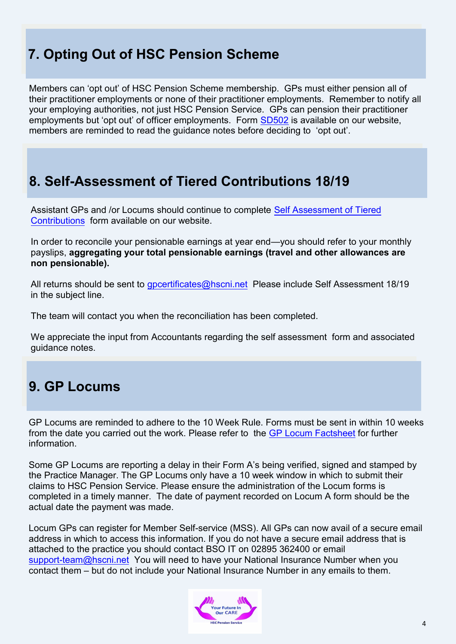## **7. Opting Out of HSC Pension Scheme**

Members can 'opt out' of HSC Pension Scheme membership. GPs must either pension all of their practitioner employments or none of their practitioner employments. Remember to notify all your employing authorities, not just HSC Pension Service. GPs can pension their practitioner employments but 'opt out' of officer employments. Form [SD502](http://www.hscpensions.hscni.net/download/Scheme%20Forms/member_forms/SD502-6.pdf) is available on our website, members are reminded to read the guidance notes before deciding to 'opt out'.

#### **8. Self-Assessment of Tiered Contributions 18/19**

Assistant GPs and /or Locums should continue to complete [Self Assessment of Tiered](http://www.hscpensions.hscni.net/practitioners/salaried-3/)  [Contributions](http://www.hscpensions.hscni.net/practitioners/salaried-3/) form available on our website.

In order to reconcile your pensionable earnings at year end—you should refer to your monthly payslips, **aggregating your total pensionable earnings (travel and other allowances are non pensionable).** 

All returns should be sent to *gpcertificates@hscni.net* Please include Self Assessment 18/19 in the subject line.

The team will contact you when the reconciliation has been completed.

We appreciate the input from Accountants regarding the self assessment form and associated guidance notes.

## **9. GP Locums**

GP Locums are reminded to adhere to the 10 Week Rule. Forms must be sent in within 10 weeks from the date you carried out the work. Please refer to the [GP Locum Factsheet](http://www.hscpensions.hscni.net/download/Practitioners/GP-Locum-Factsheet.pdf) for further information.

Some GP Locums are reporting a delay in their Form A's being verified, signed and stamped by the Practice Manager. The GP Locums only have a 10 week window in which to submit their claims to HSC Pension Service. Please ensure the administration of the Locum forms is completed in a timely manner. The date of payment recorded on Locum A form should be the actual date the payment was made.

Locum GPs can register for Member Self-service (MSS). All GPs can now avail of a secure email address in which to access this information. If you do not have a secure email address that is attached to the practice you should contact BSO IT on 02895 362400 or email support-[team@hscni.net](mailto:support-team@hscni.net) You will need to have your National Insurance Number when you contact them – but do not include your National Insurance Number in any emails to them.

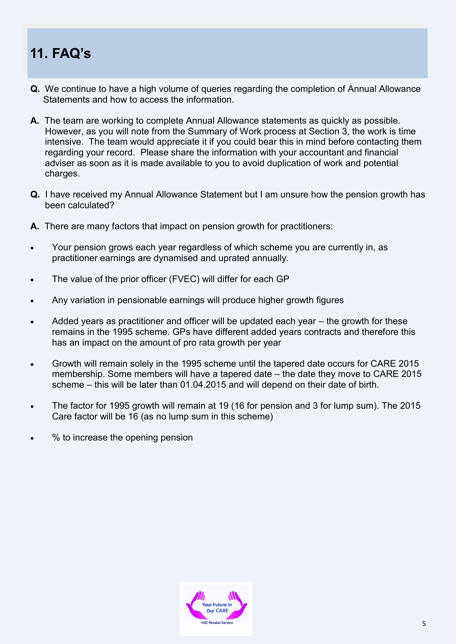## **11. FAQ's**

- **Q.** We continue to have a high volume of queries regarding the completion of Annual Allowance Statements and how to access the information.
- **A.** The team are working to complete Annual Allowance statements as quickly as possible. However, as you will note from the Summary of Work process at Section 3, the work is time intensive. The team would appreciate it if you could bear this in mind before contacting them regarding your record. Please share the information with your accountant and financial adviser as soon as it is made available to you to avoid duplication of work and potential charges.
- **Q.** I have received my Annual Allowance Statement but I am unsure how the pension growth has been calculated?
- **A.** There are many factors that impact on pension growth for practitioners:
- Your pension grows each year regardless of which scheme you are currently in, as practitioner earnings are dynamised and uprated annually.
- The value of the prior officer (FVEC) will differ for each GP
- Any variation in pensionable earnings will produce higher growth figures
- Added years as practitioner and officer will be updated each year the growth for these remains in the 1995 scheme. GPs have different added years contracts and therefore this has an impact on the amount of pro rata growth per year
- Growth will remain solely in the 1995 scheme until the tapered date occurs for CARE 2015 membership. Some members will have a tapered date – the date they move to CARE 2015 scheme – this will be later than 01.04.2015 and will depend on their date of birth.
- The factor for 1995 growth will remain at 19 (16 for pension and 3 for lump sum). The 2015 Care factor will be 16 (as no lump sum in this scheme)
- % to increase the opening pension